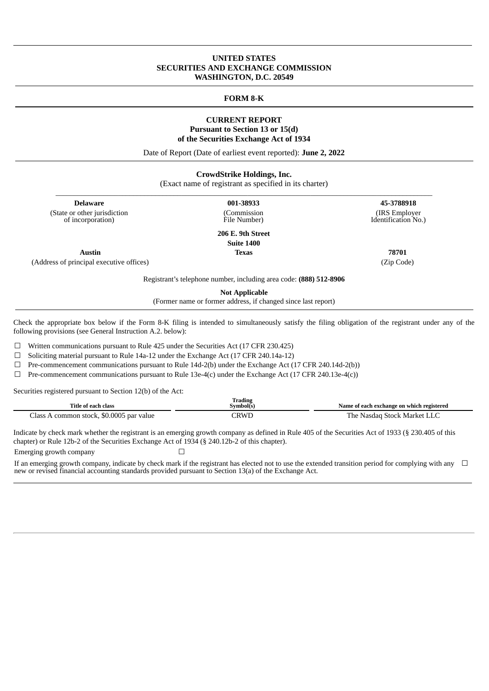# **UNITED STATES SECURITIES AND EXCHANGE COMMISSION WASHINGTON, D.C. 20549**

## **FORM 8-K**

# **CURRENT REPORT Pursuant to Section 13 or 15(d) of the Securities Exchange Act of 1934**

Date of Report (Date of earliest event reported): **June 2, 2022**

| <b>CrowdStrike Holdings, Inc.</b><br>(Exact name of registrant as specified in its charter) |                                            |                                                     |  |  |
|---------------------------------------------------------------------------------------------|--------------------------------------------|-----------------------------------------------------|--|--|
| <b>Delaware</b><br>(State or other jurisdiction<br>of incorporation)                        | 001-38933<br>(Commission<br>File Number)   | 45-3788918<br>(IRS Employer)<br>Identification No.) |  |  |
|                                                                                             | 206 E. 9th Street<br>$C_{\text{min}}$ 1400 |                                                     |  |  |

(Address of principal executive offices) (Zip Code)

**Suite 1400 Austin Texas 78701**

Registrant's telephone number, including area code: **(888) 512-8906**

**Not Applicable**

(Former name or former address, if changed since last report)

Check the appropriate box below if the Form 8‑K filing is intended to simultaneously satisfy the filing obligation of the registrant under any of the following provisions (see General Instruction A.2. below):

☐ Written communications pursuant to Rule 425 under the Securities Act (17 CFR 230.425)

☐ Soliciting material pursuant to Rule 14a‑12 under the Exchange Act (17 CFR 240.14a‑12)

☐ Pre-commencement communications pursuant to Rule 14d‑2(b) under the Exchange Act (17 CFR 240.14d‑2(b))

 $\Box$  Pre-commencement communications pursuant to Rule 13e-4(c) under the Exchange Act (17 CFR 240.13e-4(c))

Securities registered pursuant to Section 12(b) of the Act:

| Title of each class                          | 'rading<br>Symbol(s) | Name of each exchange on which registered |
|----------------------------------------------|----------------------|-------------------------------------------|
| s A common stock, \$0.0005 par value<br>lass | <b>CRWL</b>          | The Nasdag Stock Market LLC               |

Indicate by check mark whether the registrant is an emerging growth company as defined in Rule 405 of the Securities Act of 1933 (§ 230.405 of this chapter) or Rule 12b-2 of the Securities Exchange Act of 1934 (§ 240.12b-2 of this chapter). Emerging growth company  $\Box$ 

If an emerging growth company, indicate by check mark if the registrant has elected not to use the extended transition period for complying with any new or revised financial accounting standards provided pursuant to Section 13(a) of the Exchange Act. ☐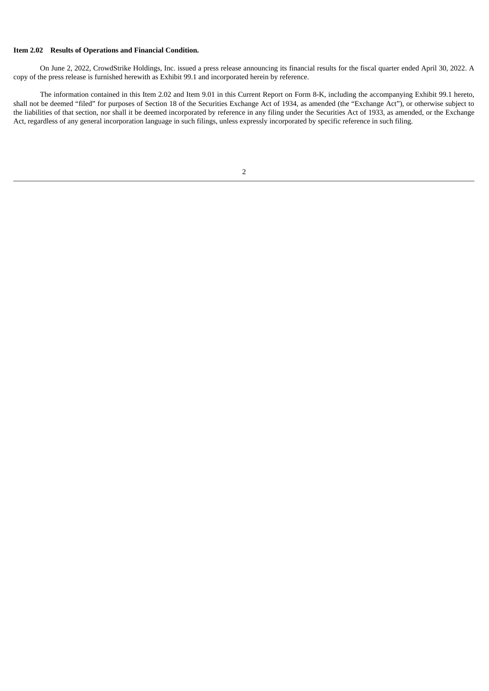# **Item 2.02 Results of Operations and Financial Condition.**

On June 2, 2022, CrowdStrike Holdings, Inc. issued a press release announcing its financial results for the fiscal quarter ended April 30, 2022. A copy of the press release is furnished herewith as Exhibit 99.1 and incorporated herein by reference.

The information contained in this Item 2.02 and Item 9.01 in this Current Report on Form 8-K, including the accompanying Exhibit 99.1 hereto, shall not be deemed "filed" for purposes of Section 18 of the Securities Exchange Act of 1934, as amended (the "Exchange Act"), or otherwise subject to the liabilities of that section, nor shall it be deemed incorporated by reference in any filing under the Securities Act of 1933, as amended, or the Exchange Act, regardless of any general incorporation language in such filings, unless expressly incorporated by specific reference in such filing.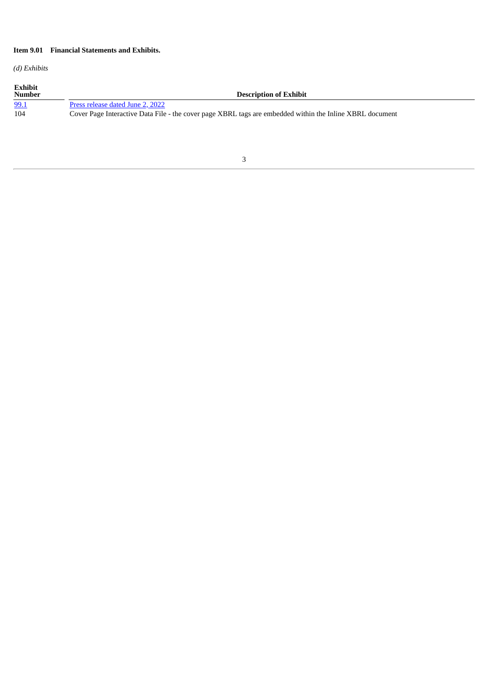# **Item 9.01 Financial Statements and Exhibits.**

*(d) Exhibits*

| <b>Exhibit</b><br><b>Number</b> | <b>Description of Exhibit</b>                                                                            |
|---------------------------------|----------------------------------------------------------------------------------------------------------|
| 99.1                            | Press release dated June 2, 2022                                                                         |
| 104                             | Cover Page Interactive Data File - the cover page XBRL tags are embedded within the Inline XBRL document |

# 3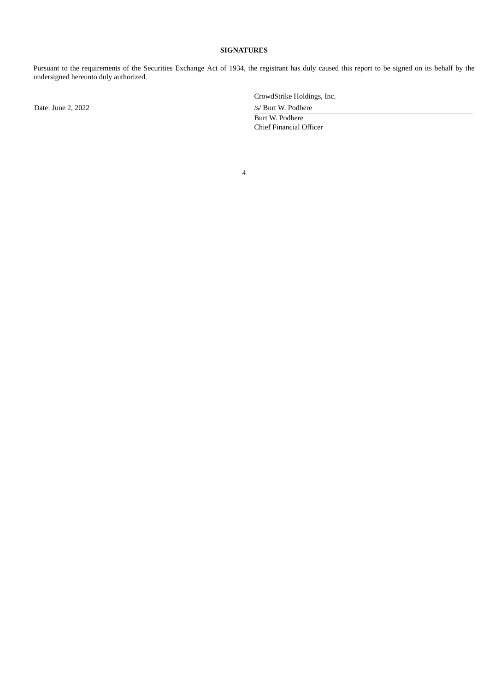# **SIGNATURES**

Pursuant to the requirements of the Securities Exchange Act of 1934, the registrant has duly caused this report to be signed on its behalf by the undersigned hereunto duly authorized.

Date: June 2, 2022 /s/ Burt W. Podbere

CrowdStrike Holdings, Inc.

Burt W. Podbere Chief Financial Officer

4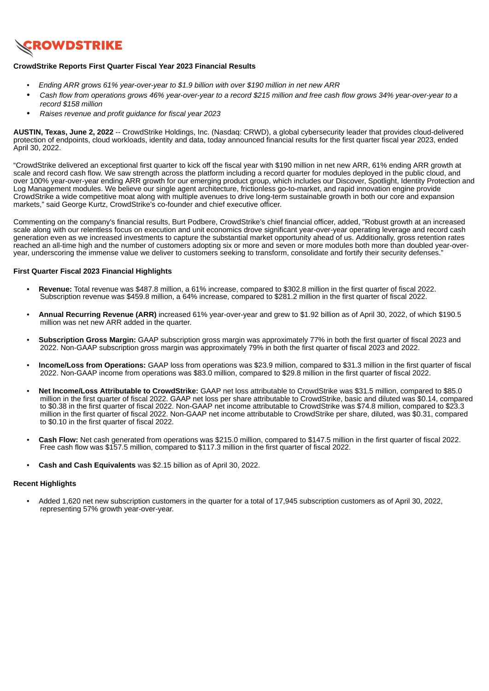<span id="page-4-0"></span>

## **CrowdStrike Reports First Quarter Fiscal Year 2023 Financial Results**

- *• Ending ARR grows 61% year-over-year to \$1.9 billion with over \$190 million in net new ARR*
- Cash flow from operations grows 46% vear-over-year to a record \$215 million and free cash flow grows 34% year-over-year to a *record \$158 million*
- *Raises revenue and profit guidance for fiscal year 2023*

**AUSTIN, Texas, June 2, 2022** -- CrowdStrike Holdings, Inc. (Nasdaq: CRWD), a global cybersecurity leader that provides cloud-delivered protection of endpoints, cloud workloads, identity and data, today announced financial results for the first quarter fiscal year 2023, ended April 30, 2022.

"CrowdStrike delivered an exceptional first quarter to kick off the fiscal year with \$190 million in net new ARR, 61% ending ARR growth at scale and record cash flow. We saw strength across the platform including a record quarter for modules deployed in the public cloud, and over 100% year-over-year ending ARR growth for our emerging product group, which includes our Discover, Spotlight, Identity Protection and Log Management modules. We believe our single agent architecture, frictionless go-to-market, and rapid innovation engine provide CrowdStrike a wide competitive moat along with multiple avenues to drive long-term sustainable growth in both our core and expansion markets," said George Kurtz, CrowdStrike's co-founder and chief executive officer.

Commenting on the company's financial results, Burt Podbere, CrowdStrike's chief financial officer, added, "Robust growth at an increased scale along with our relentless focus on execution and unit economics drove significant year-over-year operating leverage and record cash generation even as we increased investments to capture the substantial market opportunity ahead of us. Additionally, gross retention rates reached an all-time high and the number of customers adopting six or more and seven or more modules both more than doubled year-overyear, underscoring the immense value we deliver to customers seeking to transform, consolidate and fortify their security defenses."

### **First Quarter Fiscal 2023 Financial Highlights**

- **Revenue:** Total revenue was \$487.8 million, a 61% increase, compared to \$302.8 million in the first quarter of fiscal 2022. Subscription revenue was \$459.8 million, a 64% increase, compared to \$281.2 million in the first quarter of fiscal 2022.
- **Annual Recurring Revenue (ARR)** increased 61% year-over-year and grew to \$1.92 billion as of April 30, 2022, of which \$190.5 million was net new ARR added in the quarter.
- **Subscription Gross Margin:** GAAP subscription gross margin was approximately 77% in both the first quarter of fiscal 2023 and 2022. Non-GAAP subscription gross margin was approximately 79% in both the first quarter of fiscal 2023 and 2022.
- **Income/Loss from Operations:** GAAP loss from operations was \$23.9 million, compared to \$31.3 million in the first quarter of fiscal 2022. Non-GAAP income from operations was \$83.0 million, compared to \$29.8 million in the first quarter of fiscal 2022.
- **Net Income/Loss Attributable to CrowdStrike:** GAAP net loss attributable to CrowdStrike was \$31.5 million, compared to \$85.0 million in the first quarter of fiscal 2022. GAAP net loss per share attributable to CrowdStrike, basic and diluted was \$0.14, compared to \$0.38 in the first quarter of fiscal 2022. Non-GAAP net income attributable to CrowdStrike was \$74.8 million, compared to \$23.3 million in the first quarter of fiscal 2022. Non-GAAP net income attributable to CrowdStrike per share, diluted, was \$0.31, compared to \$0.10 in the first quarter of fiscal 2022.
- **Cash Flow:** Net cash generated from operations was \$215.0 million, compared to \$147.5 million in the first quarter of fiscal 2022. Free cash flow was \$157.5 million, compared to \$117.3 million in the first quarter of fiscal 2022.
- **Cash and Cash Equivalents** was \$2.15 billion as of April 30, 2022.

### **Recent Highlights**

• Added 1,620 net new subscription customers in the quarter for a total of 17,945 subscription customers as of April 30, 2022, representing 57% growth year-over-year.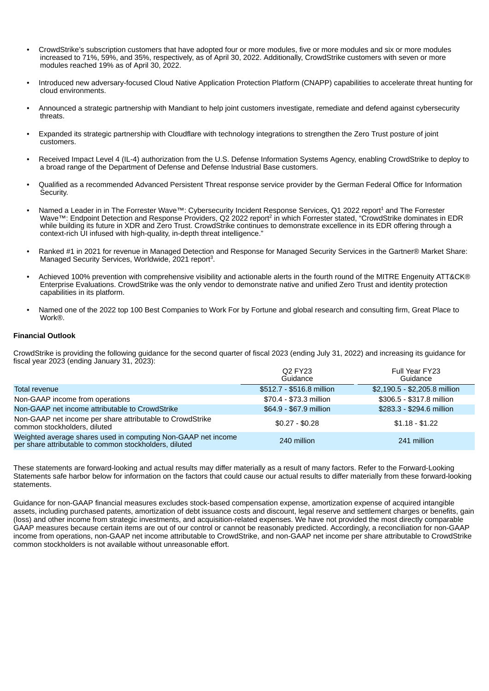- CrowdStrike's subscription customers that have adopted four or more modules, five or more modules and six or more modules increased to 71%, 59%, and 35%, respectively, as of April 30, 2022. Additionally, CrowdStrike customers with seven or more modules reached 19% as of April 30, 2022.
- Introduced new adversary-focused Cloud Native Application Protection Platform (CNAPP) capabilities to accelerate threat hunting for cloud environments.
- Announced a strategic partnership with Mandiant to help joint customers investigate, remediate and defend against cybersecurity threats.
- Expanded its strategic partnership with Cloudflare with technology integrations to strengthen the Zero Trust posture of joint customers.
- Received Impact Level 4 (IL-4) authorization from the U.S. Defense Information Systems Agency, enabling CrowdStrike to deploy to a broad range of the Department of Defense and Defense Industrial Base customers.
- Qualified as a recommended Advanced Persistent Threat response service provider by the German Federal Office for Information Security.
- Named a Leader in in The Forrester Wave™: Cybersecurity Incident Response Services, Q1 2022 report<sup>1</sup> and The Forrester Wave™: Endpoint Detection and Response Providers, Q2 2022 report<sup>2</sup> in which Forrester stated, "CrowdStrike dominates in EDR while building its future in XDR and Zero Trust. CrowdStrike continues to demonstrate excellence in its EDR offering through a context-rich UI infused with high-quality, in-depth threat intelligence."
- Ranked #1 in 2021 for revenue in Managed Detection and Response for Managed Security Services in the Gartner® Market Share: Managed Security Services, Worldwide, 2021 report<sup>3</sup>.
- Achieved 100% prevention with comprehensive visibility and actionable alerts in the fourth round of the MITRE Engenuity ATT&CK® Enterprise Evaluations. CrowdStrike was the only vendor to demonstrate native and unified Zero Trust and identity protection capabilities in its platform.
- Named one of the 2022 top 100 Best Companies to Work For by Fortune and global research and consulting firm, Great Place to Work®.

### **Financial Outlook**

CrowdStrike is providing the following guidance for the second quarter of fiscal 2023 (ending July 31, 2022) and increasing its guidance for fiscal year 2023 (ending January 31, 2023):

|                                                                                                                         | <b>Q2 FY23</b><br>Guidance | Full Year FY23<br>Guidance    |
|-------------------------------------------------------------------------------------------------------------------------|----------------------------|-------------------------------|
| Total revenue                                                                                                           | \$512.7 - \$516.8 million  | \$2,190.5 - \$2,205.8 million |
| Non-GAAP income from operations                                                                                         | \$70.4 - \$73.3 million    | \$306.5 - \$317.8 million     |
| Non-GAAP net income attributable to CrowdStrike                                                                         | \$64.9 - \$67.9 million    | \$283.3 - \$294.6 million     |
| Non-GAAP net income per share attributable to CrowdStrike<br>common stockholders, diluted                               | $$0.27 - $0.28$            | $$1.18 - $1.22$               |
| Weighted average shares used in computing Non-GAAP net income<br>per share attributable to common stockholders, diluted | 240 million                | 241 million                   |

These statements are forward-looking and actual results may differ materially as a result of many factors. Refer to the Forward-Looking Statements safe harbor below for information on the factors that could cause our actual results to differ materially from these forward-looking statements.

Guidance for non-GAAP financial measures excludes stock-based compensation expense, amortization expense of acquired intangible assets, including purchased patents, amortization of debt issuance costs and discount, legal reserve and settlement charges or benefits, gain (loss) and other income from strategic investments, and acquisition-related expenses. We have not provided the most directly comparable GAAP measures because certain items are out of our control or cannot be reasonably predicted. Accordingly, a reconciliation for non-GAAP income from operations, non-GAAP net income attributable to CrowdStrike, and non-GAAP net income per share attributable to CrowdStrike common stockholders is not available without unreasonable effort.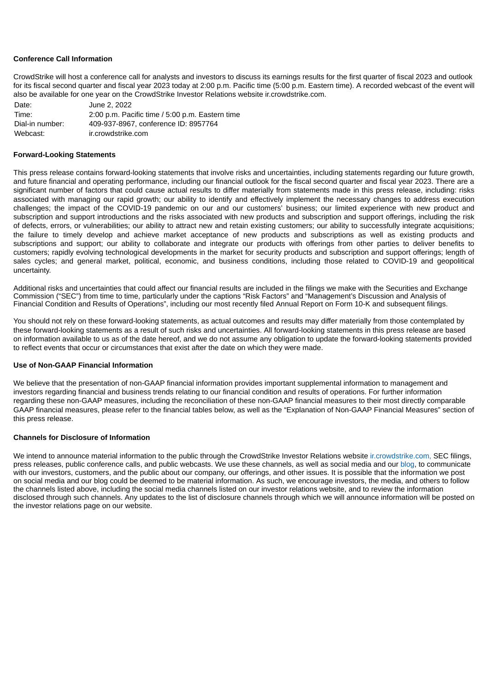### **Conference Call Information**

CrowdStrike will host a conference call for analysts and investors to discuss its earnings results for the first quarter of fiscal 2023 and outlook for its fiscal second quarter and fiscal year 2023 today at 2:00 p.m. Pacific time (5:00 p.m. Eastern time). A recorded webcast of the event will also be available for one year on the CrowdStrike Investor Relations website ir.crowdstrike.com.

| Date:           | June 2, 2022                                    |
|-----------------|-------------------------------------------------|
| Time:           | 2:00 p.m. Pacific time / 5:00 p.m. Eastern time |
| Dial-in number: | 409-937-8967, conference ID: 8957764            |
| Webcast:        | ir.crowdstrike.com                              |

### **Forward-Looking Statements**

This press release contains forward-looking statements that involve risks and uncertainties, including statements regarding our future growth, and future financial and operating performance, including our financial outlook for the fiscal second quarter and fiscal year 2023. There are a significant number of factors that could cause actual results to differ materially from statements made in this press release, including: risks associated with managing our rapid growth; our ability to identify and effectively implement the necessary changes to address execution challenges; the impact of the COVID-19 pandemic on our and our customers' business; our limited experience with new product and subscription and support introductions and the risks associated with new products and subscription and support offerings, including the risk of defects, errors, or vulnerabilities; our ability to attract new and retain existing customers; our ability to successfully integrate acquisitions; the failure to timely develop and achieve market acceptance of new products and subscriptions as well as existing products and subscriptions and support; our ability to collaborate and integrate our products with offerings from other parties to deliver benefits to customers; rapidly evolving technological developments in the market for security products and subscription and support offerings; length of sales cycles; and general market, political, economic, and business conditions, including those related to COVID-19 and geopolitical uncertainty.

Additional risks and uncertainties that could affect our financial results are included in the filings we make with the Securities and Exchange Commission ("SEC") from time to time, particularly under the captions "Risk Factors" and "Management's Discussion and Analysis of Financial Condition and Results of Operations", including our most recently filed Annual Report on Form 10-K and subsequent filings.

You should not rely on these forward-looking statements, as actual outcomes and results may differ materially from those contemplated by these forward-looking statements as a result of such risks and uncertainties. All forward-looking statements in this press release are based on information available to us as of the date hereof, and we do not assume any obligation to update the forward-looking statements provided to reflect events that occur or circumstances that exist after the date on which they were made.

#### **Use of Non-GAAP Financial Information**

We believe that the presentation of non-GAAP financial information provides important supplemental information to management and investors regarding financial and business trends relating to our financial condition and results of operations. For further information regarding these non-GAAP measures, including the reconciliation of these non-GAAP financial measures to their most directly comparable GAAP financial measures, please refer to the financial tables below, as well as the "Explanation of Non-GAAP Financial Measures" section of this press release.

### **Channels for Disclosure of Information**

We intend to announce material information to the public through the CrowdStrike Investor Relations website incrowdstrike.com, SEC filings, press releases, public conference calls, and public webcasts. We use these channels, as well as social media and our blog, to communicate with our investors, customers, and the public about our company, our offerings, and other issues. It is possible that the information we post on social media and our blog could be deemed to be material information. As such, we encourage investors, the media, and others to follow the channels listed above, including the social media channels listed on our investor relations website, and to review the information disclosed through such channels. Any updates to the list of disclosure channels through which we will announce information will be posted on the investor relations page on our website.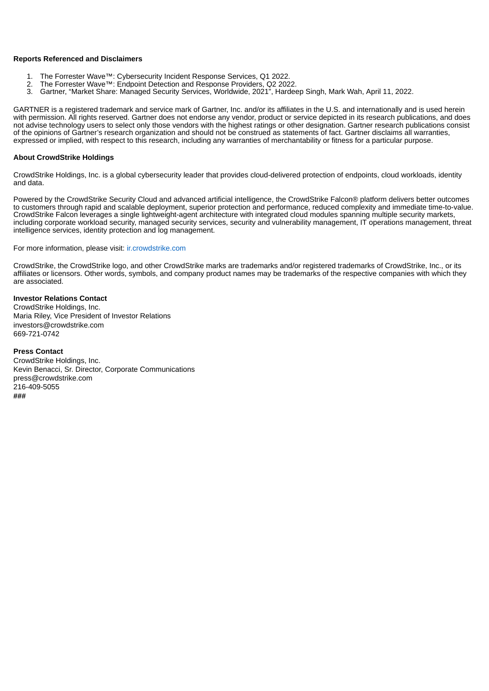### **Reports Referenced and Disclaimers**

- 1. The Forrester Wave™: Cybersecurity Incident Response Services, Q1 2022.
- 2. The Forrester Wave™: Endpoint Detection and Response Providers, Q2 2022.
- 3. Gartner, "Market Share: Managed Security Services, Worldwide, 2021", Hardeep Singh, Mark Wah, April 11, 2022.

GARTNER is a registered trademark and service mark of Gartner, Inc. and/or its affiliates in the U.S. and internationally and is used herein with permission. All rights reserved. Gartner does not endorse any vendor, product or service depicted in its research publications, and does not advise technology users to select only those vendors with the highest ratings or other designation. Gartner research publications consist of the opinions of Gartner's research organization and should not be construed as statements of fact. Gartner disclaims all warranties, expressed or implied, with respect to this research, including any warranties of merchantability or fitness for a particular purpose.

### **About CrowdStrike Holdings**

CrowdStrike Holdings, Inc. is a global cybersecurity leader that provides cloud-delivered protection of endpoints, cloud workloads, identity and data.

Powered by the CrowdStrike Security Cloud and advanced artificial intelligence, the CrowdStrike Falcon® platform delivers better outcomes to customers through rapid and scalable deployment, superior protection and performance, reduced complexity and immediate time-to-value. CrowdStrike Falcon leverages a single lightweight-agent architecture with integrated cloud modules spanning multiple security markets, including corporate workload security, managed security services, security and vulnerability management, IT operations management, threat intelligence services, identity protection and log management.

For more information, please visit: ir.crowdstrike.com

CrowdStrike, the CrowdStrike logo, and other CrowdStrike marks are trademarks and/or registered trademarks of CrowdStrike, Inc., or its affiliates or licensors. Other words, symbols, and company product names may be trademarks of the respective companies with which they are associated.

# **Investor Relations Contact**

CrowdStrike Holdings, Inc. Maria Riley, Vice President of Investor Relations investors@crowdstrike.com 669-721-0742

# **Press Contact**

CrowdStrike Holdings, Inc. Kevin Benacci, Sr. Director, Corporate Communications press@crowdstrike.com 216-409-5055 **###**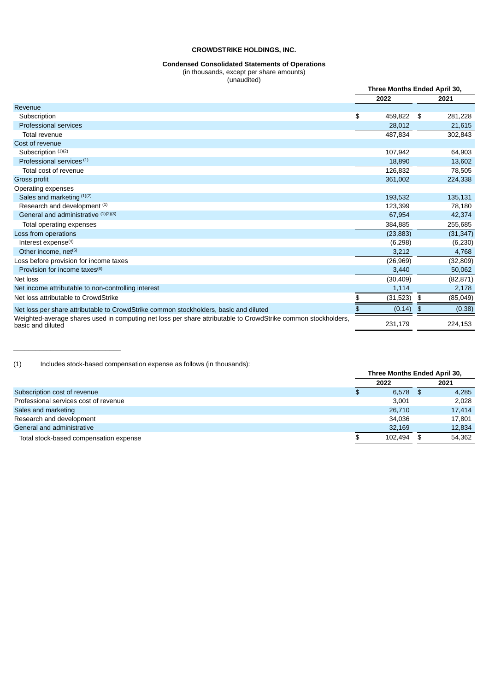### **Condensed Consolidated Statements of Operations**

(in thousands, except per share amounts)

(unaudited)

|                                                                                                                                    | Three Months Ended April 30, |      |           |
|------------------------------------------------------------------------------------------------------------------------------------|------------------------------|------|-----------|
|                                                                                                                                    | 2022                         |      | 2021      |
| Revenue                                                                                                                            |                              |      |           |
| Subscription                                                                                                                       | \$<br>459,822                | - \$ | 281,228   |
| <b>Professional services</b>                                                                                                       | 28,012                       |      | 21,615    |
| Total revenue                                                                                                                      | 487,834                      |      | 302,843   |
| Cost of revenue                                                                                                                    |                              |      |           |
| Subscription (1)(2)                                                                                                                | 107,942                      |      | 64,903    |
| Professional services <sup>(1)</sup>                                                                                               | 18,890                       |      | 13,602    |
| Total cost of revenue                                                                                                              | 126,832                      |      | 78,505    |
| Gross profit                                                                                                                       | 361,002                      |      | 224,338   |
| Operating expenses                                                                                                                 |                              |      |           |
| Sales and marketing (1)(2)                                                                                                         | 193.532                      |      | 135,131   |
| Research and development (1)                                                                                                       | 123,399                      |      | 78,180    |
| General and administrative (1)(2)(3)                                                                                               | 67,954                       |      | 42,374    |
| Total operating expenses                                                                                                           | 384,885                      |      | 255,685   |
| Loss from operations                                                                                                               | (23, 883)                    |      | (31, 347) |
| Interest expense <sup>(4)</sup>                                                                                                    | (6, 298)                     |      | (6, 230)  |
| Other income, net <sup>(5)</sup>                                                                                                   | 3,212                        |      | 4,768     |
| Loss before provision for income taxes                                                                                             | (26,969)                     |      | (32, 809) |
| Provision for income taxes $(6)$                                                                                                   | 3,440                        |      | 50,062    |
| Net loss                                                                                                                           | (30, 409)                    |      | (82, 871) |
| Net income attributable to non-controlling interest                                                                                | 1,114                        |      | 2,178     |
| Net loss attributable to CrowdStrike                                                                                               | \$<br>(31, 523)              | \$   | (85,049)  |
| Net loss per share attributable to CrowdStrike common stockholders, basic and diluted                                              | \$<br>(0.14)                 | \$   | (0.38)    |
| Weighted-average shares used in computing net loss per share attributable to CrowdStrike common stockholders,<br>basic and diluted | 231,179                      |      | 224,153   |

(1) Includes stock-based compensation expense as follows (in thousands):

\_\_\_\_\_\_\_\_\_\_\_\_\_\_\_\_\_\_\_\_\_\_\_\_\_\_\_\_\_

|                                        | Three Months Ended April 30, |      |        |
|----------------------------------------|------------------------------|------|--------|
|                                        | 2022                         |      | 2021   |
| Subscription cost of revenue           | \$<br>$6.578$ \$             |      | 4,285  |
| Professional services cost of revenue  | 3.001                        |      | 2.028  |
| Sales and marketing                    | 26.710                       |      | 17,414 |
| Research and development               | 34.036                       |      | 17,801 |
| General and administrative             | 32.169                       |      | 12,834 |
| Total stock-based compensation expense | 102.494                      | - \$ | 54.362 |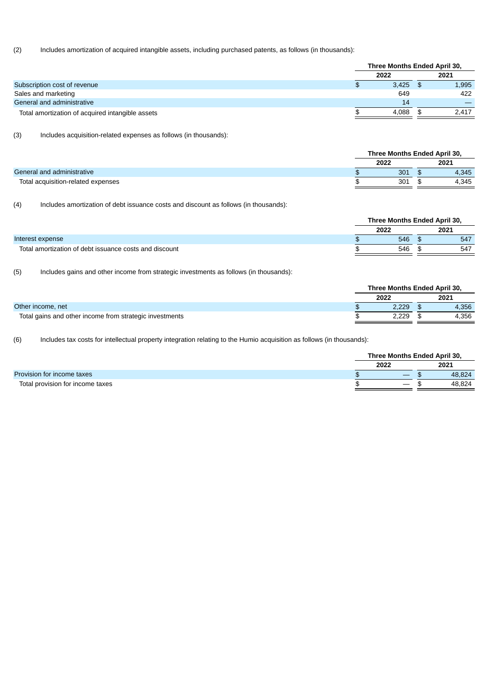## (2) Includes amortization of acquired intangible assets, including purchased patents, as follows (in thousands):

|                                                  | Three Months Ended April 30, |  |       |  |
|--------------------------------------------------|------------------------------|--|-------|--|
|                                                  | 2022                         |  | 2021  |  |
| Subscription cost of revenue                     | 3.425                        |  | 1,995 |  |
| Sales and marketing                              | 649                          |  | 422   |  |
| General and administrative                       | 14                           |  |       |  |
| Total amortization of acquired intangible assets | 4.088                        |  | 2,417 |  |

(3) Includes acquisition-related expenses as follows (in thousands):

|                                    |  | Three Months Ended April 30, |       |  |  |
|------------------------------------|--|------------------------------|-------|--|--|
|                                    |  | 2022                         | 2021  |  |  |
| General and administrative         |  | 301                          | 4.345 |  |  |
| Total acquisition-related expenses |  | 301                          | 4.345 |  |  |
|                                    |  |                              |       |  |  |

(4) Includes amortization of debt issuance costs and discount as follows (in thousands):

|                                                        | Three Months Ended April 30, |      |  |      |
|--------------------------------------------------------|------------------------------|------|--|------|
|                                                        |                              | 2022 |  | 2021 |
| Interest expense                                       |                              | 546  |  | 547  |
| Total amortization of debt issuance costs and discount |                              | 546  |  | 547  |

(5) Includes gains and other income from strategic investments as follows (in thousands):

|                                                         |  | Three Months Ended April 30, |      |       |
|---------------------------------------------------------|--|------------------------------|------|-------|
|                                                         |  | 2022                         | 2021 |       |
| Other income, net                                       |  | 2.229                        |      | 4.356 |
| Total gains and other income from strategic investments |  | 2.229                        |      | 4,356 |

(6) Includes tax costs for intellectual property integration relating to the Humio acquisition as follows (in thousands):

|                                  |  | Three Months Ended April 30, |  |        |  |
|----------------------------------|--|------------------------------|--|--------|--|
|                                  |  | 2022                         |  | 2021   |  |
| Provision for income taxes       |  | –                            |  | 48.824 |  |
| Total provision for income taxes |  |                              |  | 48.824 |  |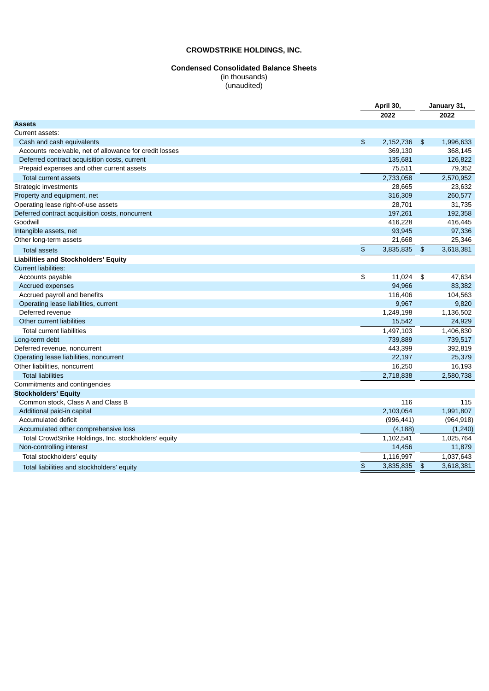## **Condensed Consolidated Balance Sheets**

(in thousands) (unaudited)

|                                                         |                | April 30,    |               | January 31, |  |
|---------------------------------------------------------|----------------|--------------|---------------|-------------|--|
|                                                         |                | 2022         |               | 2022        |  |
| <b>Assets</b>                                           |                |              |               |             |  |
| Current assets:                                         |                |              |               |             |  |
| Cash and cash equivalents                               | $\mathfrak{P}$ | 2,152,736 \$ |               | 1,996,633   |  |
| Accounts receivable, net of allowance for credit losses |                | 369,130      |               | 368,145     |  |
| Deferred contract acquisition costs, current            |                | 135,681      |               | 126,822     |  |
| Prepaid expenses and other current assets               |                | 75,511       |               | 79,352      |  |
| Total current assets                                    |                | 2,733,058    |               | 2,570,952   |  |
| Strategic investments                                   |                | 28,665       |               | 23,632      |  |
| Property and equipment, net                             |                | 316,309      |               | 260,577     |  |
| Operating lease right-of-use assets                     |                | 28,701       |               | 31,735      |  |
| Deferred contract acquisition costs, noncurrent         |                | 197,261      |               | 192,358     |  |
| Goodwill                                                |                | 416,228      |               | 416,445     |  |
| Intangible assets, net                                  |                | 93,945       |               | 97,336      |  |
| Other long-term assets                                  |                | 21,668       |               | 25,346      |  |
| <b>Total assets</b>                                     | $\pmb{\$}$     | 3,835,835    | $\frac{4}{5}$ | 3,618,381   |  |
| <b>Liabilities and Stockholders' Equity</b>             |                |              |               |             |  |
| <b>Current liabilities:</b>                             |                |              |               |             |  |
| Accounts payable                                        | \$             | 11,024 \$    |               | 47,634      |  |
| Accrued expenses                                        |                | 94,966       |               | 83,382      |  |
| Accrued payroll and benefits                            |                | 116,406      |               | 104,563     |  |
| Operating lease liabilities, current                    |                | 9,967        |               | 9,820       |  |
| Deferred revenue                                        |                | 1,249,198    |               | 1,136,502   |  |
| Other current liabilities                               |                | 15,542       |               | 24,929      |  |
| <b>Total current liabilities</b>                        |                | 1,497,103    |               | 1,406,830   |  |
| Long-term debt                                          |                | 739,889      |               | 739,517     |  |
| Deferred revenue, noncurrent                            |                | 443,399      |               | 392,819     |  |
| Operating lease liabilities, noncurrent                 |                | 22,197       |               | 25,379      |  |
| Other liabilities, noncurrent                           |                | 16,250       |               | 16,193      |  |
| <b>Total liabilities</b>                                |                | 2,718,838    |               | 2,580,738   |  |
| Commitments and contingencies                           |                |              |               |             |  |
| <b>Stockholders' Equity</b>                             |                |              |               |             |  |
| Common stock, Class A and Class B                       |                | 116          |               | 115         |  |
| Additional paid-in capital                              |                | 2,103,054    |               | 1,991,807   |  |
| Accumulated deficit                                     |                | (996, 441)   |               | (964, 918)  |  |
| Accumulated other comprehensive loss                    |                | (4, 188)     |               | (1, 240)    |  |
| Total CrowdStrike Holdings, Inc. stockholders' equity   |                | 1,102,541    |               | 1,025,764   |  |
| Non-controlling interest                                |                | 14,456       |               | 11,879      |  |
| Total stockholders' equity                              |                | 1,116,997    |               | 1,037,643   |  |
| Total liabilities and stockholders' equity              | $\frac{2}{3}$  | 3,835,835    | $\frac{4}{5}$ | 3,618,381   |  |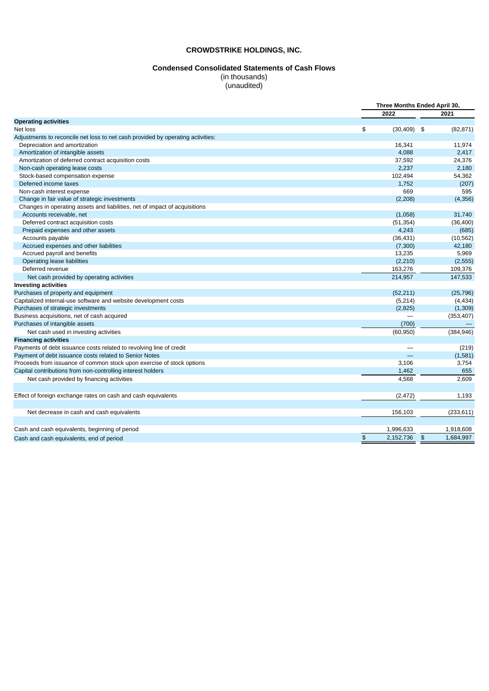#### **Condensed Consolidated Statements of Cash Flows**

(in thousands) (unaudited)

**Three Months Ended April 30, 2022 2021 Operating activities** Net loss \$ (30,409) \$ (82,871) Adjustments to reconcile net loss to net cash provided by operating activities: Depreciation and amortization 11,974 11,974 Amortization of intangible assets **2,417** and the set of the set of the set of the set of the set of the set of the set of the set of the set of the set of the set of the set of the set of the set of the set of the set of Amortization of deferred contract acquisition costs 37,592 24,376 Non-cash operating lease costs 2,180<br>
Stock-based compensation expense 54,362<br>
2,482 2,57 2,180<br>
2,494 54,362 Stock-based compensation expense Deferred income taxes and the control of the control of the control of the control of the control of the control of the control of the control of the control of the control of the control of the control of the control of t Non-cash interest expense 669 595<br>Change in fair value of strategic investments (2,308) (4,356) (3,208) (4,356) Change in fair value of strategic investments (2,208) (4,356) (4,356) (4,356) (4,356) (4,356) (4,356) (4,356) (4,356) Changes in operating assets and liabilities, net of impact of acquisitions Accounts receivable, net and the country of the country of the country of the country of the country of the country of the state of the state of the country of the state of the state of the state of the state of the state Deferred contract acquisition costs (51,354) (36,400) Prepaid expenses and other assets 4,243 (685) Accounts payable (36,431) (10,562) Accrued expenses and other liabilities (7,300) 42,180 Accrued payroll and benefits **13,235** 5,969 Operating lease liabilities (2,210) (2,555) Deferred revenue 163,276 109,376 Net cash provided by operating activities 214,957 147,533 **Investing activities** Purchases of property and equipment (52,211) (25,796) Capitalized internal-use software and website development costs (5,214) (4,434) Purchases of strategic investments (2,825) (1,309) Business acquisitions, net of cash acquired — (353,407) Purchases of intangible assets (700) — intervalsed and the control of the control of the control of the control of the control of the control of the control of the control of the control of the control of the control of th Net cash used in investing activities (384,946) (384,946) (384,946) **Financing activities** Payments of debt issuance costs related to revolving line of credit expansion of the costs related to revolving line of credit expansion of the costs related to Senior Notes (219)  $\sim$  (219) Payment of debt issuance costs related to Senior Notes Proceeds from issuance of common stock upon exercise of stock options 3,754 3,106 3,754 Capital contributions from non-controlling interest holders 1,462 655 Net cash provided by financing activities  $\qquad \qquad 2,609$ Effect of foreign exchange rates on cash and cash equivalents (2,472) 1,193 Net decrease in cash and cash equivalents (233,611)  $\sim$  156,103 (233,611) Cash and cash equivalents, beginning of period 1,996,633 1,918,608 Cash and cash equivalents, end of period  $\overline{\text{S}}$  2,152,736  $\overline{\text{S}}$  2,152,736  $\overline{\text{S}}$  1,684,997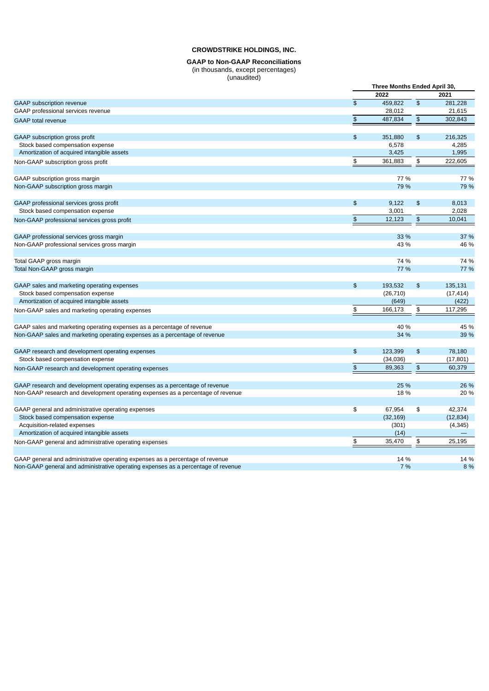#### **GAAP to Non-GAAP Reconciliations** (in thousands, except percentages) (unaudited)

|                                                                                   |               | Three Months Ended April 30, |               |           |
|-----------------------------------------------------------------------------------|---------------|------------------------------|---------------|-----------|
|                                                                                   |               | 2022                         |               | 2021      |
| GAAP subscription revenue                                                         | $\frac{1}{2}$ | 459,822                      | $\frac{1}{2}$ | 281,228   |
| GAAP professional services revenue                                                |               | 28,012                       |               | 21,615    |
| <b>GAAP</b> total revenue                                                         | $\, \, \$$    | 487,834                      | $\, \, \$$    | 302,843   |
| GAAP subscription gross profit                                                    | $\frac{1}{2}$ | 351,880                      | $\frac{1}{2}$ | 216,325   |
| Stock based compensation expense                                                  |               | 6,578                        |               | 4,285     |
| Amortization of acquired intangible assets                                        |               | 3,425                        |               | 1,995     |
| Non-GAAP subscription gross profit                                                | \$            | 361,883                      | \$            | 222,605   |
| GAAP subscription gross margin                                                    |               | 77 %                         |               | 77 %      |
| Non-GAAP subscription gross margin                                                |               | 79 %                         |               | 79 %      |
| GAAP professional services gross profit                                           | $\frac{2}{3}$ | 9,122                        | $\frac{1}{2}$ | 8,013     |
| Stock based compensation expense                                                  |               | 3,001                        |               | 2,028     |
| Non-GAAP professional services gross profit                                       | $\frac{2}{3}$ | 12,123                       | $\frac{1}{2}$ | 10,041    |
| GAAP professional services gross margin                                           |               | 33 %                         |               | 37 %      |
| Non-GAAP professional services gross margin                                       |               | 43 %                         |               | 46 %      |
| Total GAAP gross margin                                                           |               | 74 %                         |               | 74 %      |
| Total Non-GAAP gross margin                                                       |               | 77 %                         |               | 77 %      |
| GAAP sales and marketing operating expenses                                       | $\frac{2}{3}$ | 193,532                      | $\frac{1}{2}$ | 135,131   |
| Stock based compensation expense                                                  |               | (26, 710)                    |               | (17, 414) |
| Amortization of acquired intangible assets                                        |               | (649)                        |               | (422)     |
| Non-GAAP sales and marketing operating expenses                                   | \$            | 166,173                      | \$            | 117,295   |
| GAAP sales and marketing operating expenses as a percentage of revenue            |               | 40 %                         |               | 45 %      |
| Non-GAAP sales and marketing operating expenses as a percentage of revenue        |               | 34 %                         |               | 39 %      |
| GAAP research and development operating expenses                                  | $\frac{1}{2}$ | 123,399                      | $\frac{1}{2}$ | 78,180    |
| Stock based compensation expense                                                  |               | (34,036)                     |               | (17, 801) |
| Non-GAAP research and development operating expenses                              | $\, \, \$$    | 89,363                       | $\, \, \$$    | 60,379    |
| GAAP research and development operating expenses as a percentage of revenue       |               | 25 %                         |               | 26 %      |
| Non-GAAP research and development operating expenses as a percentage of revenue   |               | 18 %                         |               | 20 %      |
| GAAP general and administrative operating expenses                                | \$            | 67,954                       | \$            | 42,374    |
| Stock based compensation expense                                                  |               | (32, 169)                    |               | (12, 834) |
| Acquisition-related expenses                                                      |               | (301)                        |               | (4, 345)  |
| Amortization of acquired intangible assets                                        |               | (14)                         |               |           |
| Non-GAAP general and administrative operating expenses                            | \$            | 35,470                       | \$            | 25,195    |
| GAAP general and administrative operating expenses as a percentage of revenue     |               | 14 %                         |               | 14 %      |
| Non-GAAP general and administrative operating expenses as a percentage of revenue |               | 7 %                          |               | 8 %       |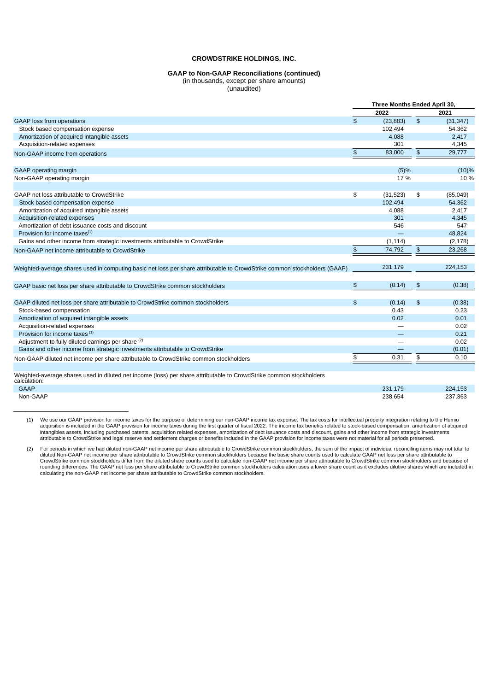### **GAAP to Non-GAAP Reconciliations (continued)** (in thousands, except per share amounts)

(unaudited)

|                                                                                                                                     |                | Three Months Ended April 30, |               |           |
|-------------------------------------------------------------------------------------------------------------------------------------|----------------|------------------------------|---------------|-----------|
|                                                                                                                                     |                | 2022                         |               | 2021      |
| <b>GAAP</b> loss from operations                                                                                                    | $\mathfrak{S}$ | (23, 883)                    | $\frac{1}{2}$ | (31, 347) |
| Stock based compensation expense                                                                                                    |                | 102,494                      |               | 54,362    |
| Amortization of acquired intangible assets                                                                                          |                | 4,088                        |               | 2,417     |
| Acquisition-related expenses                                                                                                        |                | 301                          |               | 4,345     |
| Non-GAAP income from operations                                                                                                     | \$             | 83,000                       | $\frac{1}{2}$ | 29,777    |
| GAAP operating margin                                                                                                               |                | (5)%                         |               | (10)%     |
| Non-GAAP operating margin                                                                                                           |                | 17 %                         |               | 10 %      |
| GAAP net loss attributable to CrowdStrike                                                                                           | \$             | (31, 523)                    | \$            | (85,049)  |
| Stock based compensation expense                                                                                                    |                | 102,494                      |               | 54,362    |
| Amortization of acquired intangible assets                                                                                          |                | 4,088                        |               | 2,417     |
| Acquisition-related expenses                                                                                                        |                | 301                          |               | 4,345     |
| Amortization of debt issuance costs and discount                                                                                    |                | 546                          |               | 547       |
| Provision for income taxes $(1)$                                                                                                    |                |                              |               | 48,824    |
| Gains and other income from strategic investments attributable to CrowdStrike                                                       |                | (1, 114)                     |               | (2, 178)  |
| Non-GAAP net income attributable to CrowdStrike                                                                                     | $\frac{1}{2}$  | 74,792                       | $\frac{1}{2}$ | 23,268    |
| Weighted-average shares used in computing basic net loss per share attributable to CrowdStrike common stockholders (GAAP)           |                | 231,179                      |               | 224,153   |
| GAAP basic net loss per share attributable to CrowdStrike common stockholders                                                       | \$             | (0.14)                       | $\frac{2}{3}$ | (0.38)    |
| GAAP diluted net loss per share attributable to CrowdStrike common stockholders                                                     | \$             | (0.14)                       | $\frac{2}{3}$ | (0.38)    |
| Stock-based compensation                                                                                                            |                | 0.43                         |               | 0.23      |
| Amortization of acquired intangible assets                                                                                          |                | 0.02                         |               | 0.01      |
| Acquisition-related expenses                                                                                                        |                |                              |               | 0.02      |
| Provision for income taxes <sup>(1)</sup>                                                                                           |                |                              |               | 0.21      |
| Adjustment to fully diluted earnings per share (2)                                                                                  |                |                              |               | 0.02      |
| Gains and other income from strategic investments attributable to CrowdStrike                                                       |                |                              |               | (0.01)    |
| Non-GAAP diluted net income per share attributable to CrowdStrike common stockholders                                               | \$             | 0.31                         | \$            | 0.10      |
| Weighted-average shares used in diluted net income (loss) per share attributable to CrowdStrike common stockholders<br>calculation: |                |                              |               |           |

GAAP 231,179 224,153 Non-GAAP 238,654 237,363

\_\_\_\_\_\_\_\_\_\_\_\_\_\_\_\_\_\_\_\_\_\_\_\_\_\_\_\_

1) We use our GAAP provision for income taxes for the purpose of determining our non-GAAP income tax expense. The tax costs for intellectual property integration relating to the Humio<br>acquisition is included in the GAAP pr intangibles assets, including purchased patents, acquisition related expenses, amortization of debt issuance costs and discount, gains and other income from strategic investments<br>attributable to CrowdStrike and legal reser

(2) For periods in which we had diluted non-GAAP net income per share attributable to CrowdStrike common stockholders, the sum of the impact of individual reconciling items may not total to diluted Non-GAAP net income per share attributable to CrowdStrike common stockholders because the basic share counts used to calculate GAAP net loss per share attributable to<br>CrowdStrike common stockholders differ from the rounding differences. The GAAP net loss per share attributable to CrowdStrike common stockholders calculation uses a lower share count as it excludes dilutive shares which are included in calculating the non-GAAP net income per share attributable to CrowdStrike common stockholders.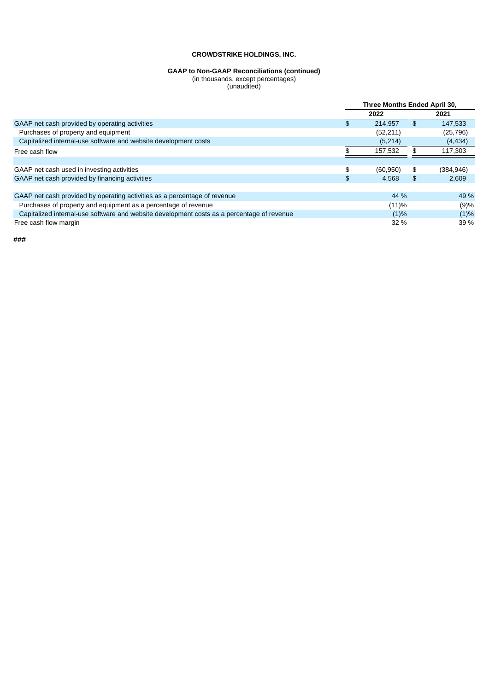#### **GAAP to Non-GAAP Reconciliations (continued)**

(in thousands, except percentages) (unaudited)

|                                                                                            | Three Months Ended April 30, |           |    |            |
|--------------------------------------------------------------------------------------------|------------------------------|-----------|----|------------|
|                                                                                            |                              | 2022      |    | 2021       |
| GAAP net cash provided by operating activities                                             | \$                           | 214.957   | \$ | 147.533    |
| Purchases of property and equipment                                                        |                              | (52, 211) |    | (25, 796)  |
| Capitalized internal-use software and website development costs                            |                              | (5,214)   |    | (4, 434)   |
| Free cash flow                                                                             |                              | 157,532   |    | 117,303    |
|                                                                                            |                              |           |    |            |
| GAAP net cash used in investing activities                                                 | \$                           | (60, 950) | \$ | (384, 946) |
| GAAP net cash provided by financing activities                                             | \$                           | 4.568     | \$ | 2.609      |
|                                                                                            |                              |           |    |            |
| GAAP net cash provided by operating activities as a percentage of revenue                  |                              | 44 %      |    | 49 %       |
| Purchases of property and equipment as a percentage of revenue                             |                              | (11)%     |    | (9)%       |
| Capitalized internal-use software and website development costs as a percentage of revenue |                              | $(1)\%$   |    | (1)%       |
| Free cash flow margin                                                                      |                              | $32\%$    |    | 39 %       |

**###**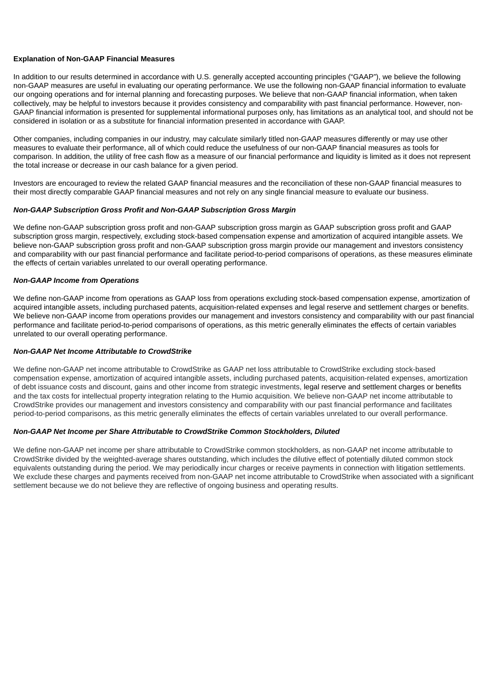### **Explanation of Non-GAAP Financial Measures**

In addition to our results determined in accordance with U.S. generally accepted accounting principles ("GAAP"), we believe the following non-GAAP measures are useful in evaluating our operating performance. We use the following non-GAAP financial information to evaluate our ongoing operations and for internal planning and forecasting purposes. We believe that non-GAAP financial information, when taken collectively, may be helpful to investors because it provides consistency and comparability with past financial performance. However, non-GAAP financial information is presented for supplemental informational purposes only, has limitations as an analytical tool, and should not be considered in isolation or as a substitute for financial information presented in accordance with GAAP.

Other companies, including companies in our industry, may calculate similarly titled non-GAAP measures differently or may use other measures to evaluate their performance, all of which could reduce the usefulness of our non-GAAP financial measures as tools for comparison. In addition, the utility of free cash flow as a measure of our financial performance and liquidity is limited as it does not represent the total increase or decrease in our cash balance for a given period.

Investors are encouraged to review the related GAAP financial measures and the reconciliation of these non-GAAP financial measures to their most directly comparable GAAP financial measures and not rely on any single financial measure to evaluate our business.

### *Non-GAAP Subscription Gross Profit and Non-GAAP Subscription Gross Margin*

We define non-GAAP subscription gross profit and non-GAAP subscription gross margin as GAAP subscription gross profit and GAAP subscription gross margin, respectively, excluding stock-based compensation expense and amortization of acquired intangible assets. We believe non-GAAP subscription gross profit and non-GAAP subscription gross margin provide our management and investors consistency and comparability with our past financial performance and facilitate period-to-period comparisons of operations, as these measures eliminate the effects of certain variables unrelated to our overall operating performance.

### *Non-GAAP Income from Operations*

We define non-GAAP income from operations as GAAP loss from operations excluding stock-based compensation expense, amortization of acquired intangible assets, including purchased patents, acquisition-related expenses and legal reserve and settlement charges or benefits. We believe non-GAAP income from operations provides our management and investors consistency and comparability with our past financial performance and facilitate period-to-period comparisons of operations, as this metric generally eliminates the effects of certain variables unrelated to our overall operating performance.

#### *Non-GAAP Net Income Attributable to CrowdStrike*

We define non-GAAP net income attributable to CrowdStrike as GAAP net loss attributable to CrowdStrike excluding stock-based compensation expense, amortization of acquired intangible assets, including purchased patents, acquisition-related expenses, amortization of debt issuance costs and discount, gains and other income from strategic investments, legal reserve and settlement charges or benefits and the tax costs for intellectual property integration relating to the Humio acquisition. We believe non-GAAP net income attributable to CrowdStrike provides our management and investors consistency and comparability with our past financial performance and facilitates period-to-period comparisons, as this metric generally eliminates the effects of certain variables unrelated to our overall performance.

### *Non-GAAP Net Income per Share Attributable to CrowdStrike Common Stockholders, Diluted*

We define non-GAAP net income per share attributable to CrowdStrike common stockholders, as non-GAAP net income attributable to CrowdStrike divided by the weighted-average shares outstanding, which includes the dilutive effect of potentially diluted common stock equivalents outstanding during the period. We may periodically incur charges or receive payments in connection with litigation settlements. We exclude these charges and payments received from non-GAAP net income attributable to CrowdStrike when associated with a significant settlement because we do not believe they are reflective of ongoing business and operating results.